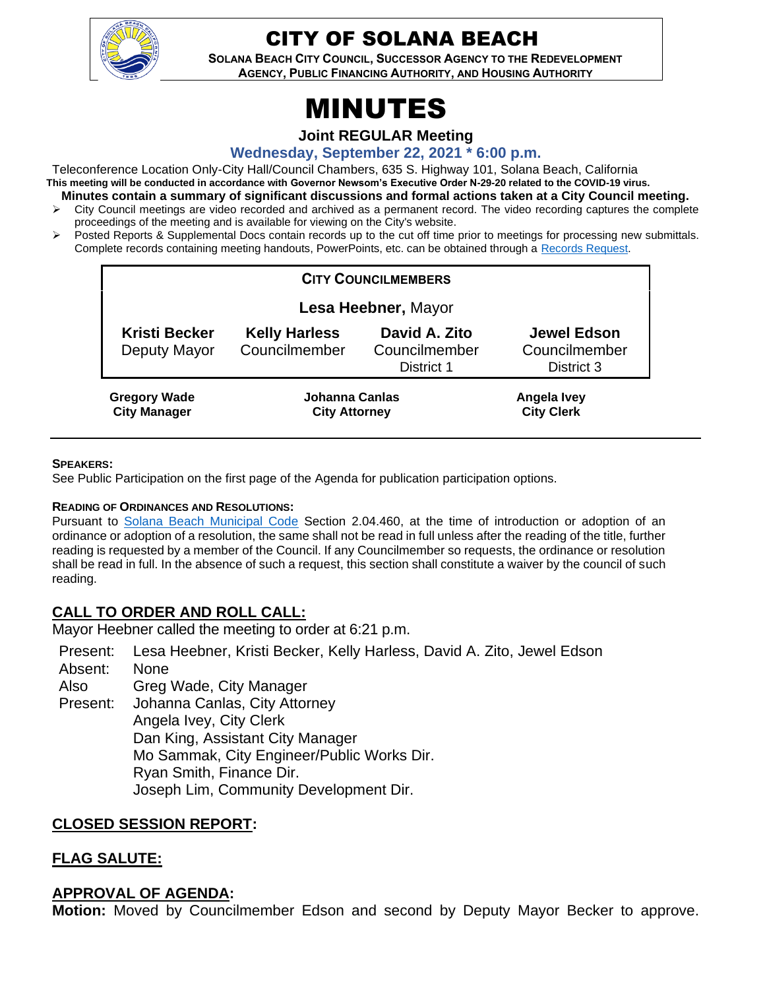

# CITY OF SOLANA BEACH

**SOLANA BEACH CITY COUNCIL, SUCCESSOR AGENCY TO THE REDEVELOPMENT AGENCY, PUBLIC FINANCING AUTHORITY, AND HOUSING AUTHORITY** 

# MINUTES

**Joint REGULAR Meeting**

**Wednesday, September 22, 2021 \* 6:00 p.m.**

Teleconference Location Only-City Hall/Council Chambers, 635 S. Highway 101, Solana Beach, California **This meeting will be conducted in accordance with Governor Newsom's Executive Order N-29-20 related to the COVID-19 virus. Minutes contain a summary of significant discussions and formal actions taken at a City Council meeting.**

- $\triangleright$  City Council meetings are video recorded and archived as a permanent record. The video recording captures the complete proceedings of the meeting and is available for viewing on the City's website.
- ➢ Posted Reports & Supplemental Docs contain records up to the cut off time prior to meetings for processing new submittals. Complete records containing meeting handouts, PowerPoints, etc. can be obtained through a [Records Request.](http://www.ci.solana-beach.ca.us/index.asp?SEC=F5D45D10-70CE-4291-A27C-7BD633FC6742&Type=B_BASIC)

| <b>CITY COUNCILMEMBERS</b>                 |                                        |                                              |                                                   |
|--------------------------------------------|----------------------------------------|----------------------------------------------|---------------------------------------------------|
| Lesa Heebner, Mayor                        |                                        |                                              |                                                   |
| <b>Kristi Becker</b><br>Deputy Mayor       | <b>Kelly Harless</b><br>Councilmember  | David A. Zito<br>Councilmember<br>District 1 | <b>Jewel Edson</b><br>Councilmember<br>District 3 |
| <b>Gregory Wade</b><br><b>City Manager</b> | Johanna Canlas<br><b>City Attorney</b> |                                              | Angela Ivey<br><b>City Clerk</b>                  |

#### **SPEAKERS:**

See Public Participation on the first page of the Agenda for publication participation options.

#### **READING OF ORDINANCES AND RESOLUTIONS:**

Pursuant to [Solana Beach Municipal Code](https://www.codepublishing.com/CA/SolanaBeach/) Section 2.04.460, at the time of introduction or adoption of an ordinance or adoption of a resolution, the same shall not be read in full unless after the reading of the title, further reading is requested by a member of the Council. If any Councilmember so requests, the ordinance or resolution shall be read in full. In the absence of such a request, this section shall constitute a waiver by the council of such reading.

# **CALL TO ORDER AND ROLL CALL:**

Mayor Heebner called the meeting to order at 6:21 p.m.

Present: Lesa Heebner, Kristi Becker, Kelly Harless, David A. Zito, Jewel Edson

- Absent: None
- Also Greg Wade, City Manager
- Present: Johanna Canlas, City Attorney Angela Ivey, City Clerk Dan King, Assistant City Manager Mo Sammak, City Engineer/Public Works Dir. Ryan Smith, Finance Dir. Joseph Lim, Community Development Dir.

# **CLOSED SESSION REPORT:**

# **FLAG SALUTE:**

# **APPROVAL OF AGENDA:**

**Motion:** Moved by Councilmember Edson and second by Deputy Mayor Becker to approve.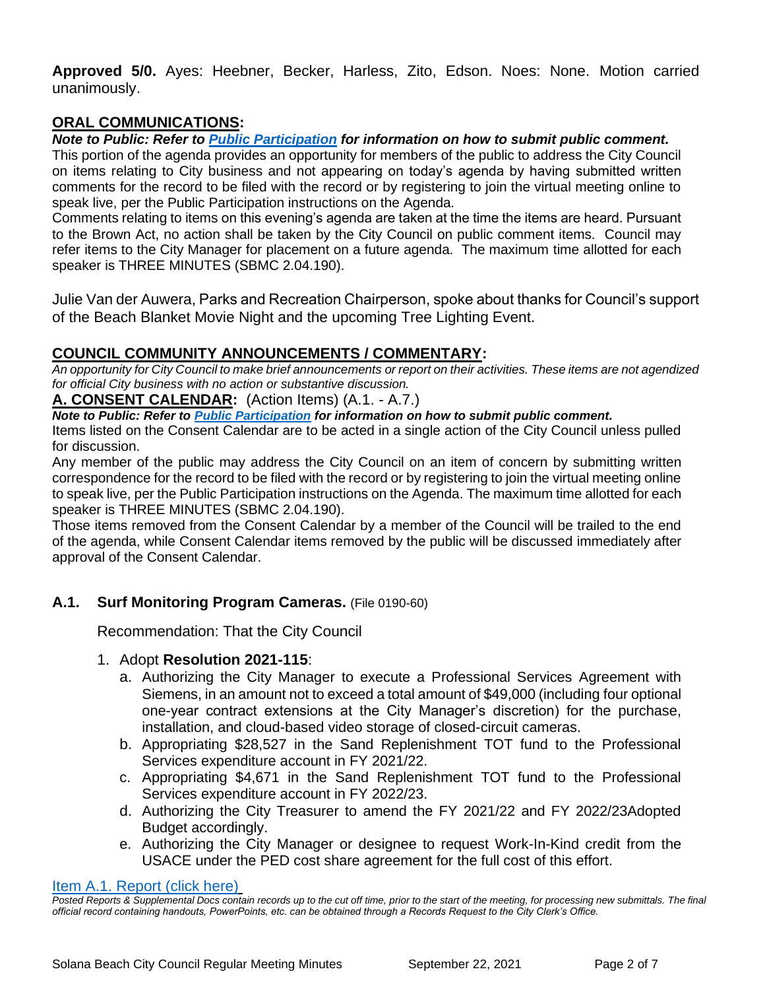**Approved 5/0.** Ayes: Heebner, Becker, Harless, Zito, Edson. Noes: None. Motion carried unanimously.

# **ORAL COMMUNICATIONS:**

# *Note to Public: Refer to Public Participation for information on how to submit public comment.*

This portion of the agenda provides an opportunity for members of the public to address the City Council on items relating to City business and not appearing on today's agenda by having submitted written comments for the record to be filed with the record or by registering to join the virtual meeting online to speak live, per the Public Participation instructions on the Agenda.

Comments relating to items on this evening's agenda are taken at the time the items are heard. Pursuant to the Brown Act, no action shall be taken by the City Council on public comment items. Council may refer items to the City Manager for placement on a future agenda. The maximum time allotted for each speaker is THREE MINUTES (SBMC 2.04.190).

Julie Van der Auwera, Parks and Recreation Chairperson, spoke about thanks for Council's support of the Beach Blanket Movie Night and the upcoming Tree Lighting Event.

# **COUNCIL COMMUNITY ANNOUNCEMENTS / COMMENTARY:**

*An opportunity for City Council to make brief announcements or report on their activities. These items are not agendized for official City business with no action or substantive discussion.* 

#### **A. CONSENT CALENDAR:** (Action Items) (A.1. - A.7.)

*Note to Public: Refer to Public Participation for information on how to submit public comment.* 

Items listed on the Consent Calendar are to be acted in a single action of the City Council unless pulled for discussion.

Any member of the public may address the City Council on an item of concern by submitting written correspondence for the record to be filed with the record or by registering to join the virtual meeting online to speak live, per the Public Participation instructions on the Agenda. The maximum time allotted for each speaker is THREE MINUTES (SBMC 2.04.190).

Those items removed from the Consent Calendar by a member of the Council will be trailed to the end of the agenda, while Consent Calendar items removed by the public will be discussed immediately after approval of the Consent Calendar.

# **A.1. Surf Monitoring Program Cameras.** (File 0190-60)

Recommendation: That the City Council

# 1. Adopt **Resolution 2021-115**:

- a. Authorizing the City Manager to execute a Professional Services Agreement with Siemens, in an amount not to exceed a total amount of \$49,000 (including four optional one-year contract extensions at the City Manager's discretion) for the purchase, installation, and cloud-based video storage of closed-circuit cameras.
- b. Appropriating \$28,527 in the Sand Replenishment TOT fund to the Professional Services expenditure account in FY 2021/22.
- c. Appropriating \$4,671 in the Sand Replenishment TOT fund to the Professional Services expenditure account in FY 2022/23.
- d. Authorizing the City Treasurer to amend the FY 2021/22 and FY 2022/23Adopted Budget accordingly.
- e. Authorizing the City Manager or designee to request Work-In-Kind credit from the USACE under the PED cost share agreement for the full cost of this effort.

[Item A.1. Report \(click here\)](https://solanabeach.govoffice3.com/vertical/Sites/%7B840804C2-F869-4904-9AE3-720581350CE7%7D/uploads/Item_A.1._Report_(click_here)_-_9-22-21_O.pdf)

*Posted Reports & Supplemental Docs contain records up to the cut off time, prior to the start of the meeting, for processing new submittals. The final official record containing handouts, PowerPoints, etc. can be obtained through a Records Request to the City Clerk's Office.*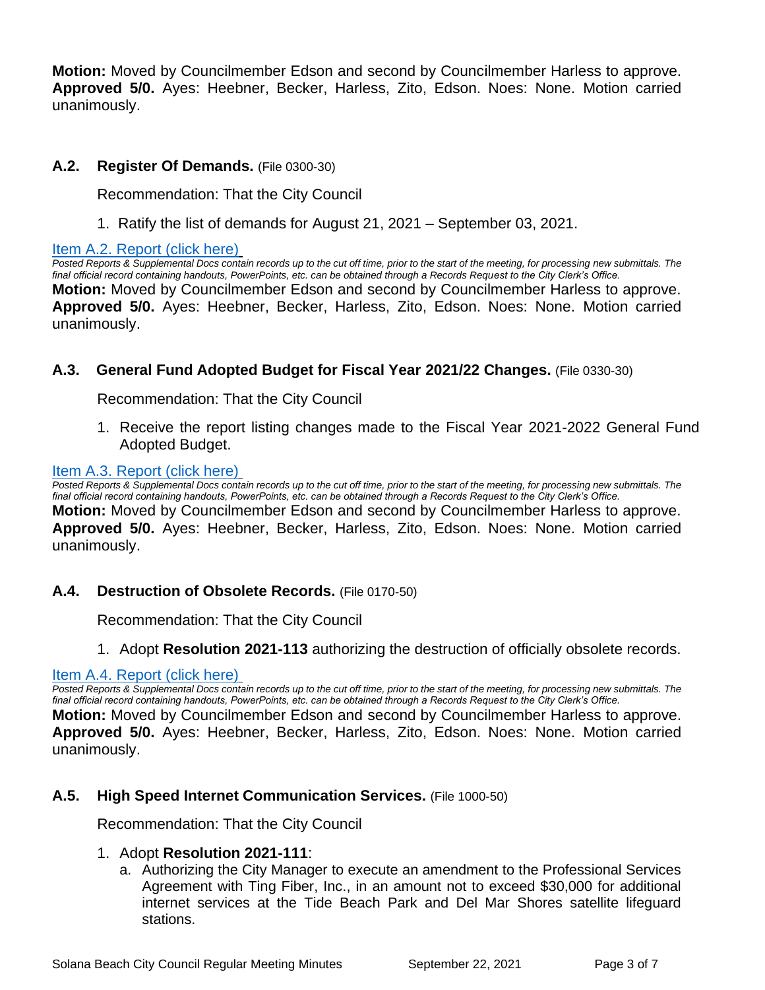**Motion:** Moved by Councilmember Edson and second by Councilmember Harless to approve. **Approved 5/0.** Ayes: Heebner, Becker, Harless, Zito, Edson. Noes: None. Motion carried unanimously.

# **A.2. Register Of Demands.** (File 0300-30)

Recommendation: That the City Council

1. Ratify the list of demands for August 21, 2021 – September 03, 2021.

#### [Item A.2. Report \(click here\)](https://solanabeach.govoffice3.com/vertical/Sites/%7B840804C2-F869-4904-9AE3-720581350CE7%7D/uploads/Item_A.2._Report_(click_here)_-_9-22-21_O.pdf)

*Posted Reports & Supplemental Docs contain records up to the cut off time, prior to the start of the meeting, for processing new submittals. The final official record containing handouts, PowerPoints, etc. can be obtained through a Records Request to the City Clerk's Office.* **Motion:** Moved by Councilmember Edson and second by Councilmember Harless to approve. **Approved 5/0.** Ayes: Heebner, Becker, Harless, Zito, Edson. Noes: None. Motion carried unanimously.

# **A.3. General Fund Adopted Budget for Fiscal Year 2021/22 Changes.** (File 0330-30)

Recommendation: That the City Council

1. Receive the report listing changes made to the Fiscal Year 2021-2022 General Fund [Adopted Budget.](https://solanabeach.govoffice3.com/vertical/Sites/%7B840804C2-F869-4904-9AE3-720581350CE7%7D/uploads/Item_A.3._Report_(click_here)_-_9-22-21_O.pdf)

#### [Item A.3. Report \(click here\)](https://solanabeach.govoffice3.com/vertical/Sites/%7B840804C2-F869-4904-9AE3-720581350CE7%7D/uploads/Item_A.3._Report_(click_here)_-_9-22-21_O.pdf)

*Posted Reports & Supplemental Docs contain records up to the cut off time, prior to the start of the meeting, for processing new submittals. The final official record containing handouts, PowerPoints, etc. can be obtained through a Records Request to the City Clerk's Office.* **Motion:** Moved by Councilmember Edson and second by Councilmember Harless to approve. **Approved 5/0.** Ayes: Heebner, Becker, Harless, Zito, Edson. Noes: None. Motion carried unanimously.

# **A.4. Destruction of Obsolete Records.** (File 0170-50)

Recommendation: That the City Council

1. Adopt **Resolution 2021-113** authorizing the destruction of officially obsolete records.

# [Item A.4. Report \(click here\)](https://solanabeach.govoffice3.com/vertical/Sites/%7B840804C2-F869-4904-9AE3-720581350CE7%7D/uploads/Item_A.4._Report_(click_here)_-_9-22-21_O.pdf)

Posted Reports & Supplemental Docs contain records up to the cut off time, prior to the start of the meeting, for processing new submittals. The *final official record containing handouts, PowerPoints, etc. can be obtained through a Records Request to the City Clerk's Office.* **Motion:** Moved by Councilmember Edson and second by Councilmember Harless to approve. **Approved 5/0.** Ayes: Heebner, Becker, Harless, Zito, Edson. Noes: None. Motion carried unanimously.

# **A.5. High Speed Internet Communication Services.** (File 1000-50)

Recommendation: That the City Council

# 1. Adopt **Resolution 2021-111**:

a. Authorizing the City Manager to execute an amendment to the Professional Services Agreement with Ting Fiber, Inc., in an amount not to exceed \$30,000 for additional internet services at the Tide Beach Park and Del Mar Shores satellite lifeguard stations.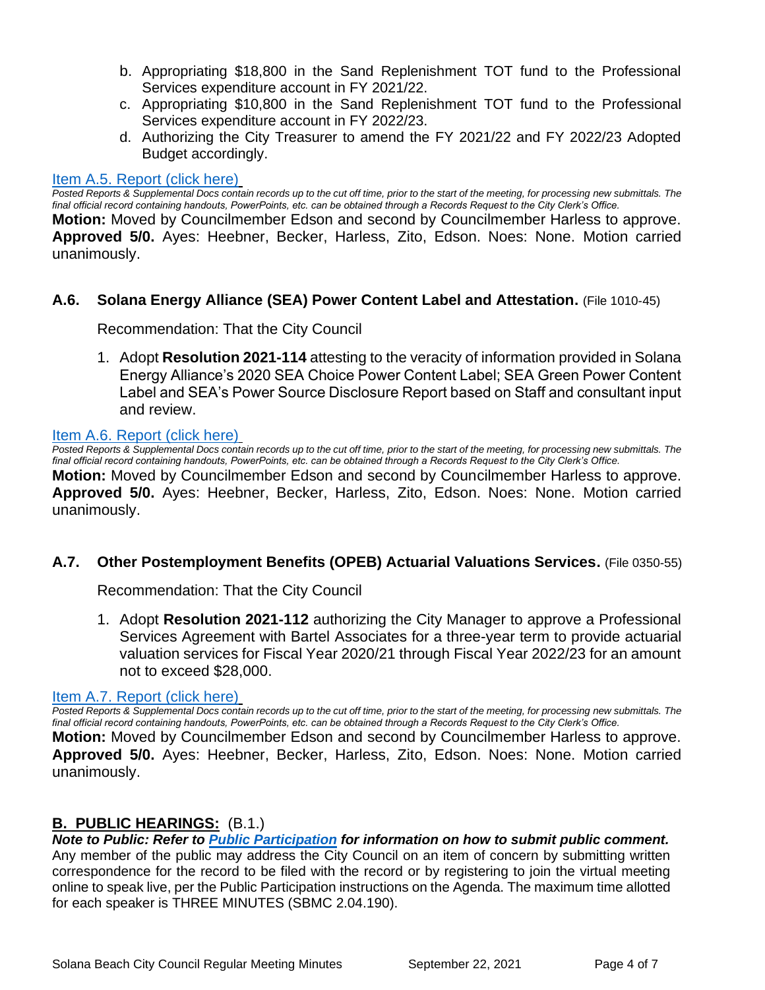- b. Appropriating \$18,800 in the Sand Replenishment TOT fund to the Professional Services expenditure account in FY 2021/22.
- c. Appropriating \$10,800 in the Sand Replenishment TOT fund to the Professional Services expenditure account in FY 2022/23.
- d. Authorizing the City Treasurer to amend the FY 2021/22 and FY 2022/23 Adopted Budget accordingly.

#### [Item A.5. Report \(click here\)](https://solanabeach.govoffice3.com/vertical/Sites/%7B840804C2-F869-4904-9AE3-720581350CE7%7D/uploads/Item_A.5._Report_(click_here)_-_9-22-21_O.pdf)

*Posted Reports & Supplemental Docs contain records up to the cut off time, prior to the start of the meeting, for processing new submittals. The final official record containing handouts, PowerPoints, etc. can be obtained through a Records Request to the City Clerk's Office.*

**Motion:** Moved by Councilmember Edson and second by Councilmember Harless to approve. **Approved 5/0.** Ayes: Heebner, Becker, Harless, Zito, Edson. Noes: None. Motion carried unanimously.

#### **A.6. Solana Energy Alliance (SEA) Power Content Label and Attestation.** (File 1010-45)

Recommendation: That the City Council

1. Adopt **Resolution 2021-114** attesting to the veracity of information provided in Solana Energy Alliance's 2020 SEA Choice Power Content Label; SEA Green Power Content Label and SEA's Power Source Disclosure Report based on Staff and consultant input and review.

#### [Item A.6. Report \(click here\)](https://solanabeach.govoffice3.com/vertical/Sites/%7B840804C2-F869-4904-9AE3-720581350CE7%7D/uploads/Item_A.6._Report_(click_here)_-_9-22-21_O.pdf)

Posted Reports & Supplemental Docs contain records up to the cut off time, prior to the start of the meeting, for processing new submittals. The *final official record containing handouts, PowerPoints, etc. can be obtained through a Records Request to the City Clerk's Office.* **Motion:** Moved by Councilmember Edson and second by Councilmember Harless to approve. **Approved 5/0.** Ayes: Heebner, Becker, Harless, Zito, Edson. Noes: None. Motion carried unanimously.

#### **A.7. Other Postemployment Benefits (OPEB) Actuarial Valuations Services.** (File 0350-55)

Recommendation: That the City Council

1. Adopt **Resolution 2021-112** authorizing the City Manager to approve a Professional Services Agreement with Bartel Associates for a three-year term to provide actuarial valuation services for Fiscal Year 2020/21 through Fiscal Year 2022/23 for an amount not to exceed \$28,000.

#### [Item A.7. Report \(click here\)](https://solanabeach.govoffice3.com/vertical/Sites/%7B840804C2-F869-4904-9AE3-720581350CE7%7D/uploads/Item_A.7._Report_(click_here)_-_9-22-21_O.pdf)

*Posted Reports & Supplemental Docs contain records up to the cut off time, prior to the start of the meeting, for processing new submittals. The final official record containing handouts, PowerPoints, etc. can be obtained through a Records Request to the City Clerk's Office.*

**Motion:** Moved by Councilmember Edson and second by Councilmember Harless to approve. **Approved 5/0.** Ayes: Heebner, Becker, Harless, Zito, Edson. Noes: None. Motion carried unanimously.

#### **B. PUBLIC HEARINGS:** (B.1.)

*Note to Public: Refer to Public Participation for information on how to submit public comment.*  Any member of the public may address the City Council on an item of concern by submitting written correspondence for the record to be filed with the record or by registering to join the virtual meeting online to speak live, per the Public Participation instructions on the Agenda. The maximum time allotted for each speaker is THREE MINUTES (SBMC 2.04.190).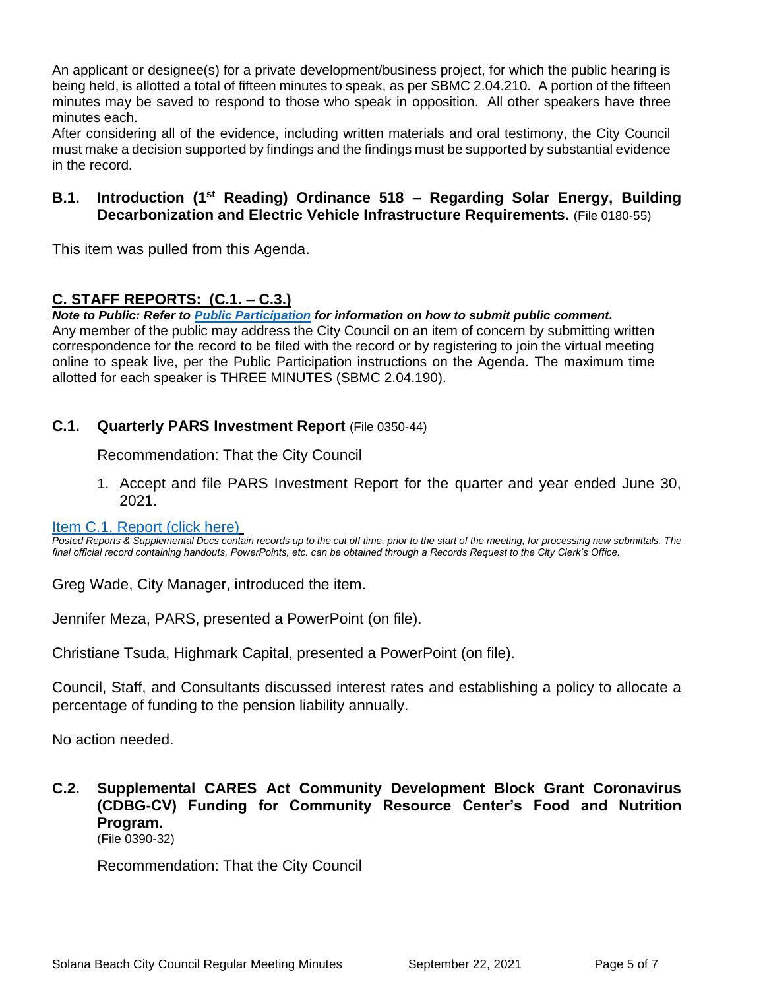An applicant or designee(s) for a private development/business project, for which the public hearing is being held, is allotted a total of fifteen minutes to speak, as per SBMC 2.04.210. A portion of the fifteen minutes may be saved to respond to those who speak in opposition. All other speakers have three minutes each.

After considering all of the evidence, including written materials and oral testimony, the City Council must make a decision supported by findings and the findings must be supported by substantial evidence in the record.

# **B.1. Introduction (1st Reading) Ordinance 518 – Regarding Solar Energy, Building Decarbonization and Electric Vehicle Infrastructure Requirements.** (File 0180-55)

This item was pulled from this Agenda.

# **C. STAFF REPORTS: (C.1. – C.3.)**

*Note to Public: Refer to Public Participation for information on how to submit public comment.*  Any member of the public may address the City Council on an item of concern by submitting written correspondence for the record to be filed with the record or by registering to join the virtual meeting online to speak live, per the Public Participation instructions on the Agenda. The maximum time allotted for each speaker is THREE MINUTES (SBMC 2.04.190).

# **C.1. Quarterly PARS Investment Report** (File 0350-44)

Recommendation: That the City Council

1. Accept and file PARS Investment Report for the quarter and year ended June 30, 2021.

#### [Item C.1. Report \(click here\)](https://solanabeach.govoffice3.com/vertical/Sites/%7B840804C2-F869-4904-9AE3-720581350CE7%7D/uploads/Item_C.1._Report_(click_here)_-_9-22-21_O.pdf)

*Posted Reports & Supplemental Docs contain records up to the cut off time, prior to the start of the meeting, for processing new submittals. The final official record containing handouts, PowerPoints, etc. can be obtained through a Records Request to the City Clerk's Office.*

Greg Wade, City Manager, introduced the item.

Jennifer Meza, PARS, presented a PowerPoint (on file).

Christiane Tsuda, Highmark Capital, presented a PowerPoint (on file).

Council, Staff, and Consultants discussed interest rates and establishing a policy to allocate a percentage of funding to the pension liability annually.

No action needed.

**C.2. Supplemental CARES Act Community Development Block Grant Coronavirus (CDBG-CV) Funding for Community Resource Center's Food and Nutrition Program.**  (File 0390-32)

Recommendation: That the City Council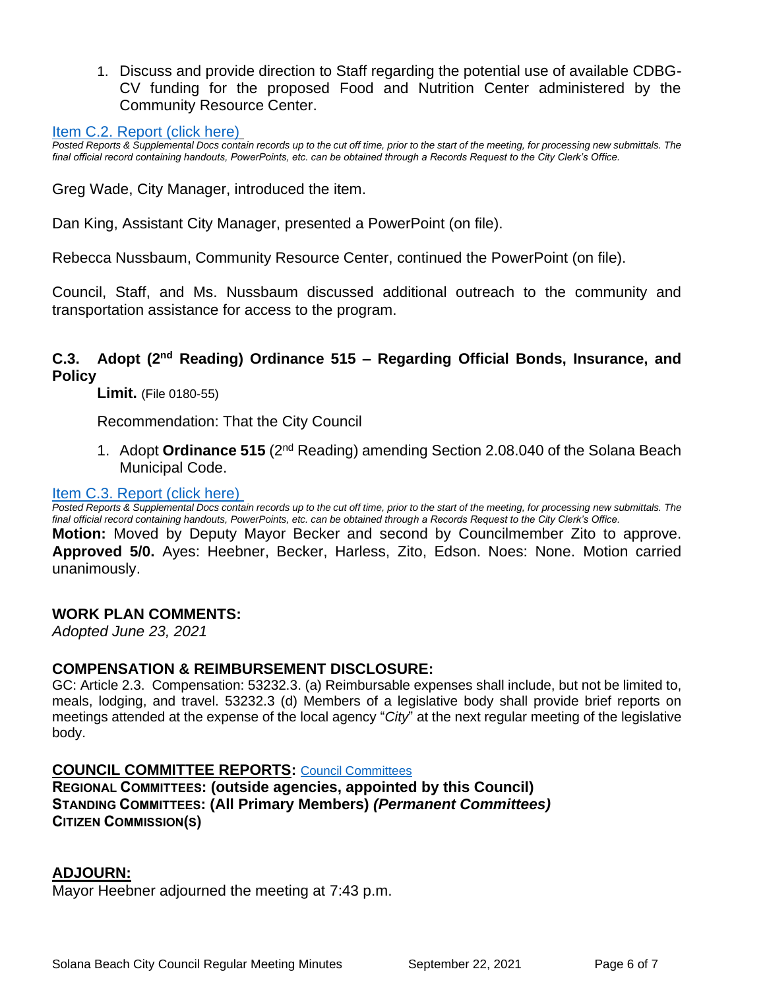1. Discuss and provide direction to Staff regarding the potential use of available CDBG-CV funding for the proposed Food and Nutrition Center administered by the Community Resource Center.

#### [Item C.2. Report \(click here\)](https://solanabeach.govoffice3.com/vertical/Sites/%7B840804C2-F869-4904-9AE3-720581350CE7%7D/uploads/Item_C.2._Report_(click_here)_9-22-21_O.pdf)

*Posted Reports & Supplemental Docs contain records up to the cut off time, prior to the start of the meeting, for processing new submittals. The final official record containing handouts, PowerPoints, etc. can be obtained through a Records Request to the City Clerk's Office.*

Greg Wade, City Manager, introduced the item.

Dan King, Assistant City Manager, presented a PowerPoint (on file).

Rebecca Nussbaum, Community Resource Center, continued the PowerPoint (on file).

Council, Staff, and Ms. Nussbaum discussed additional outreach to the community and transportation assistance for access to the program.

# **C.3. Adopt (2nd Reading) Ordinance 515 – Regarding Official Bonds, Insurance, and Policy**

**Limit.** (File 0180-55)

Recommendation: That the City Council

1. Adopt **Ordinance 515** (2nd Reading) amending Section 2.08.040 of the Solana Beach Municipal Code.

#### Item [C.3. Report \(click here\)](https://solanabeach.govoffice3.com/vertical/Sites/%7B840804C2-F869-4904-9AE3-720581350CE7%7D/uploads/Item_C.3._Report_(click_here)_9-22-21_O.pdf)

*Posted Reports & Supplemental Docs contain records up to the cut off time, prior to the start of the meeting, for processing new submittals. The final official record containing handouts, PowerPoints, etc. can be obtained through a Records Request to the City Clerk's Office.* **Motion:** Moved by Deputy Mayor Becker and second by Councilmember Zito to approve. **Approved 5/0.** Ayes: Heebner, Becker, Harless, Zito, Edson. Noes: None. Motion carried unanimously.

#### **WORK PLAN COMMENTS:**

*Adopted June 23, 2021*

#### **COMPENSATION & REIMBURSEMENT DISCLOSURE:**

GC: Article 2.3. Compensation: 53232.3. (a) Reimbursable expenses shall include, but not be limited to, meals, lodging, and travel. 53232.3 (d) Members of a legislative body shall provide brief reports on meetings attended at the expense of the local agency "*City*" at the next regular meeting of the legislative body.

#### **COUNCIL COMMITTEE REPORTS:** [Council Committees](https://www.ci.solana-beach.ca.us/index.asp?SEC=584E1192-3850-46EA-B977-088AC3E81E0D&Type=B_BASIC)

**REGIONAL COMMITTEES: (outside agencies, appointed by this Council) STANDING COMMITTEES: (All Primary Members)** *(Permanent Committees)* **CITIZEN COMMISSION(S)**

#### **ADJOURN:**

Mayor Heebner adjourned the meeting at 7:43 p.m.